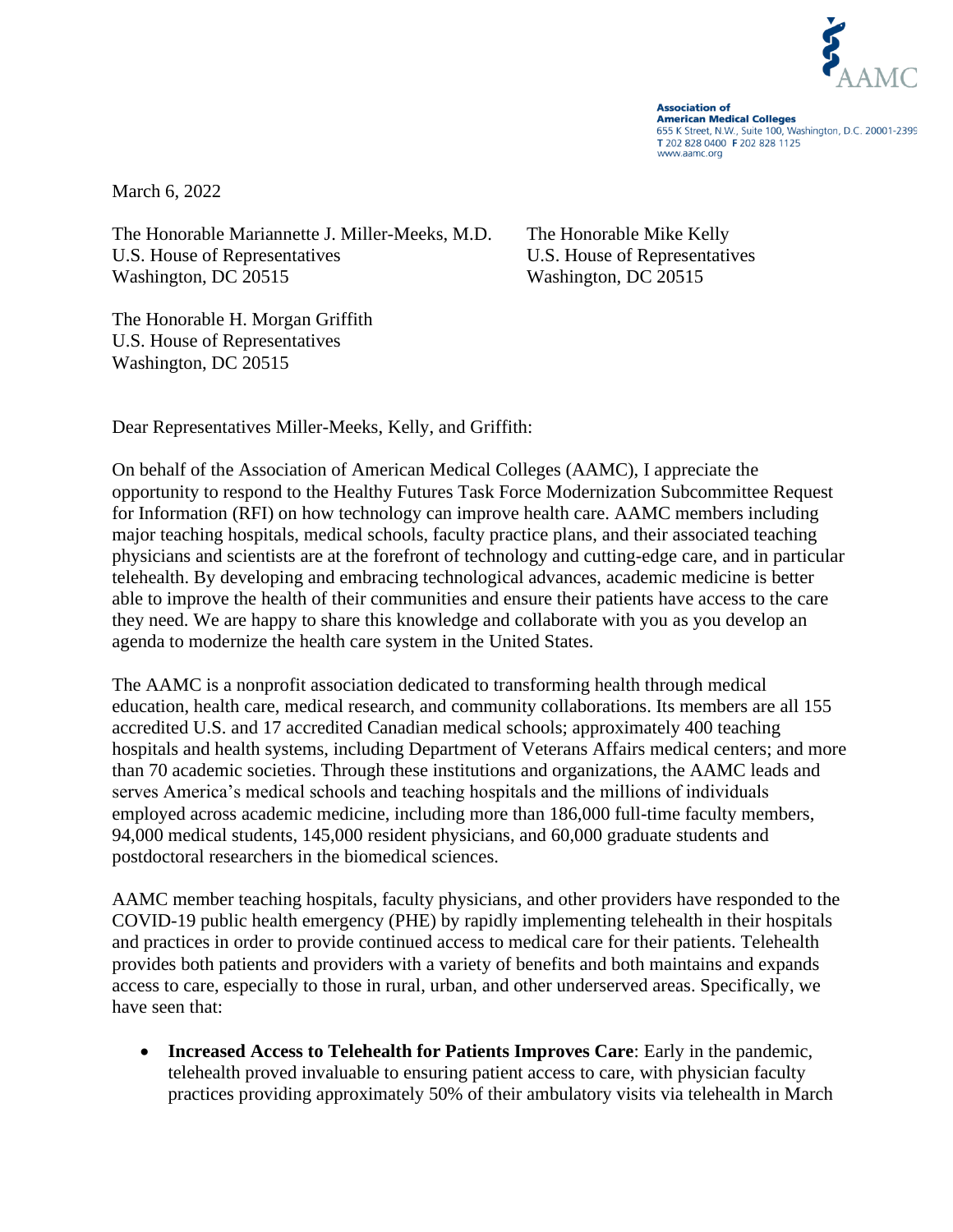

**Association of American Medical Colleges** 655 K Street, N.W., Suite 100, Washington, D.C. 20001-2399 T 202 828 0400 F 202 828 1125 www.aamc.org

March 6, 2022

The Honorable Mariannette J. Miller-Meeks, M.D. The Honorable Mike Kelly U.S. House of Representatives U.S. House of Representatives Washington, DC 20515 Washington, DC 20515

The Honorable H. Morgan Griffith U.S. House of Representatives Washington, DC 20515

Dear Representatives Miller-Meeks, Kelly, and Griffith:

On behalf of the Association of American Medical Colleges (AAMC), I appreciate the opportunity to respond to the Healthy Futures Task Force Modernization Subcommittee Request for Information (RFI) on how technology can improve health care. AAMC members including major teaching hospitals, medical schools, faculty practice plans, and their associated teaching physicians and scientists are at the forefront of technology and cutting-edge care, and in particular telehealth. By developing and embracing technological advances, academic medicine is better able to improve the health of their communities and ensure their patients have access to the care they need. We are happy to share this knowledge and collaborate with you as you develop an agenda to modernize the health care system in the United States.

The AAMC is a nonprofit association dedicated to transforming health through medical education, health care, medical research, and community collaborations. Its members are all 155 accredited U.S. and 17 accredited Canadian medical schools; approximately 400 teaching hospitals and health systems, including Department of Veterans Affairs medical centers; and more than 70 academic societies. Through these institutions and organizations, the AAMC leads and serves America's medical schools and teaching hospitals and the millions of individuals employed across academic medicine, including more than 186,000 full-time faculty members, 94,000 medical students, 145,000 resident physicians, and 60,000 graduate students and postdoctoral researchers in the biomedical sciences.

AAMC member teaching hospitals, faculty physicians, and other providers have responded to the COVID-19 public health emergency (PHE) by rapidly implementing telehealth in their hospitals and practices in order to provide continued access to medical care for their patients. Telehealth provides both patients and providers with a variety of benefits and both maintains and expands access to care, especially to those in rural, urban, and other underserved areas. Specifically, we have seen that:

• **Increased Access to Telehealth for Patients Improves Care**: Early in the pandemic, telehealth proved invaluable to ensuring patient access to care, with physician faculty practices providing approximately 50% of their ambulatory visits via telehealth in March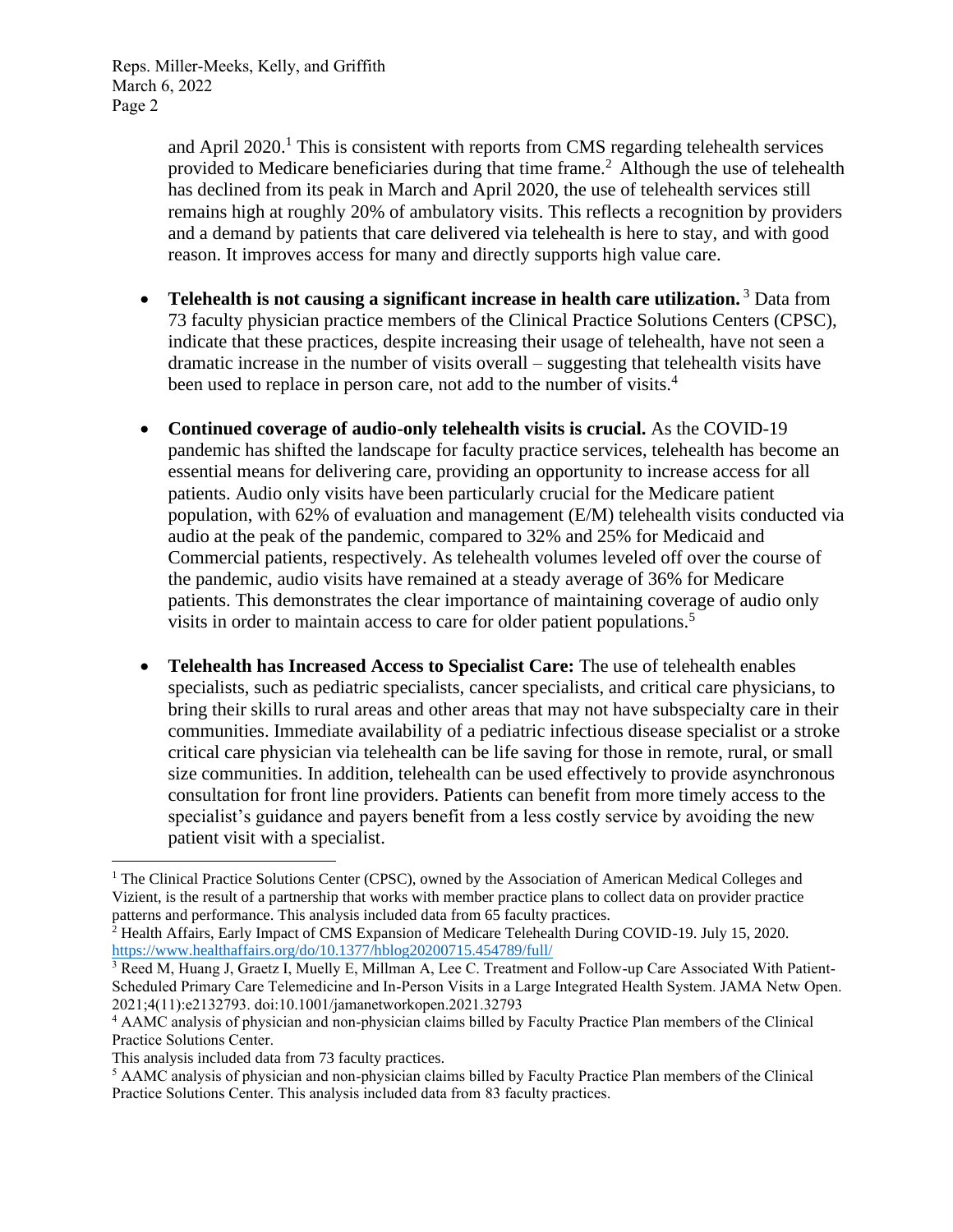> and April  $2020$ <sup>1</sup>. This is consistent with reports from CMS regarding telehealth services provided to Medicare beneficiaries during that time frame.<sup>2</sup> Although the use of telehealth has declined from its peak in March and April 2020, the use of telehealth services still remains high at roughly 20% of ambulatory visits. This reflects a recognition by providers and a demand by patients that care delivered via telehealth is here to stay, and with good reason. It improves access for many and directly supports high value care.

- **Telehealth is not causing a significant increase in health care utilization.** <sup>3</sup> Data from 73 faculty physician practice members of the Clinical Practice Solutions Centers (CPSC), indicate that these practices, despite increasing their usage of telehealth, have not seen a dramatic increase in the number of visits overall – suggesting that telehealth visits have been used to replace in person care, not add to the number of visits.<sup>4</sup>
- **Continued coverage of audio-only telehealth visits is crucial.** As the COVID-19 pandemic has shifted the landscape for faculty practice services, telehealth has become an essential means for delivering care, providing an opportunity to increase access for all patients. Audio only visits have been particularly crucial for the Medicare patient population, with 62% of evaluation and management (E/M) telehealth visits conducted via audio at the peak of the pandemic, compared to 32% and 25% for Medicaid and Commercial patients, respectively. As telehealth volumes leveled off over the course of the pandemic, audio visits have remained at a steady average of 36% for Medicare patients. This demonstrates the clear importance of maintaining coverage of audio only visits in order to maintain access to care for older patient populations.<sup>5</sup>
- **Telehealth has Increased Access to Specialist Care:** The use of telehealth enables specialists, such as pediatric specialists, cancer specialists, and critical care physicians, to bring their skills to rural areas and other areas that may not have subspecialty care in their communities. Immediate availability of a pediatric infectious disease specialist or a stroke critical care physician via telehealth can be life saving for those in remote, rural, or small size communities. In addition, telehealth can be used effectively to provide asynchronous consultation for front line providers. Patients can benefit from more timely access to the specialist's guidance and payers benefit from a less costly service by avoiding the new patient visit with a specialist.

<sup>&</sup>lt;sup>1</sup> The Clinical Practice Solutions Center (CPSC), owned by the Association of American Medical Colleges and Vizient, is the result of a partnership that works with member practice plans to collect data on provider practice patterns and performance. This analysis included data from 65 faculty practices.

<sup>&</sup>lt;sup>2</sup> Health Affairs, Early Impact of CMS Expansion of Medicare Telehealth During COVID-19. July 15, 2020. <https://www.healthaffairs.org/do/10.1377/hblog20200715.454789/full/>

<sup>&</sup>lt;sup>3</sup> Reed M, Huang J, Graetz I, Muelly E, Millman A, Lee C. Treatment and Follow-up Care Associated With Patient-Scheduled Primary Care Telemedicine and In-Person Visits in a Large Integrated Health System. JAMA Netw Open. 2021;4(11):e2132793. doi:10.1001/jamanetworkopen.2021.32793

<sup>4</sup> AAMC analysis of physician and non-physician claims billed by Faculty Practice Plan members of the Clinical Practice Solutions Center.

This analysis included data from 73 faculty practices.

<sup>5</sup> AAMC analysis of physician and non-physician claims billed by Faculty Practice Plan members of the Clinical Practice Solutions Center. This analysis included data from 83 faculty practices.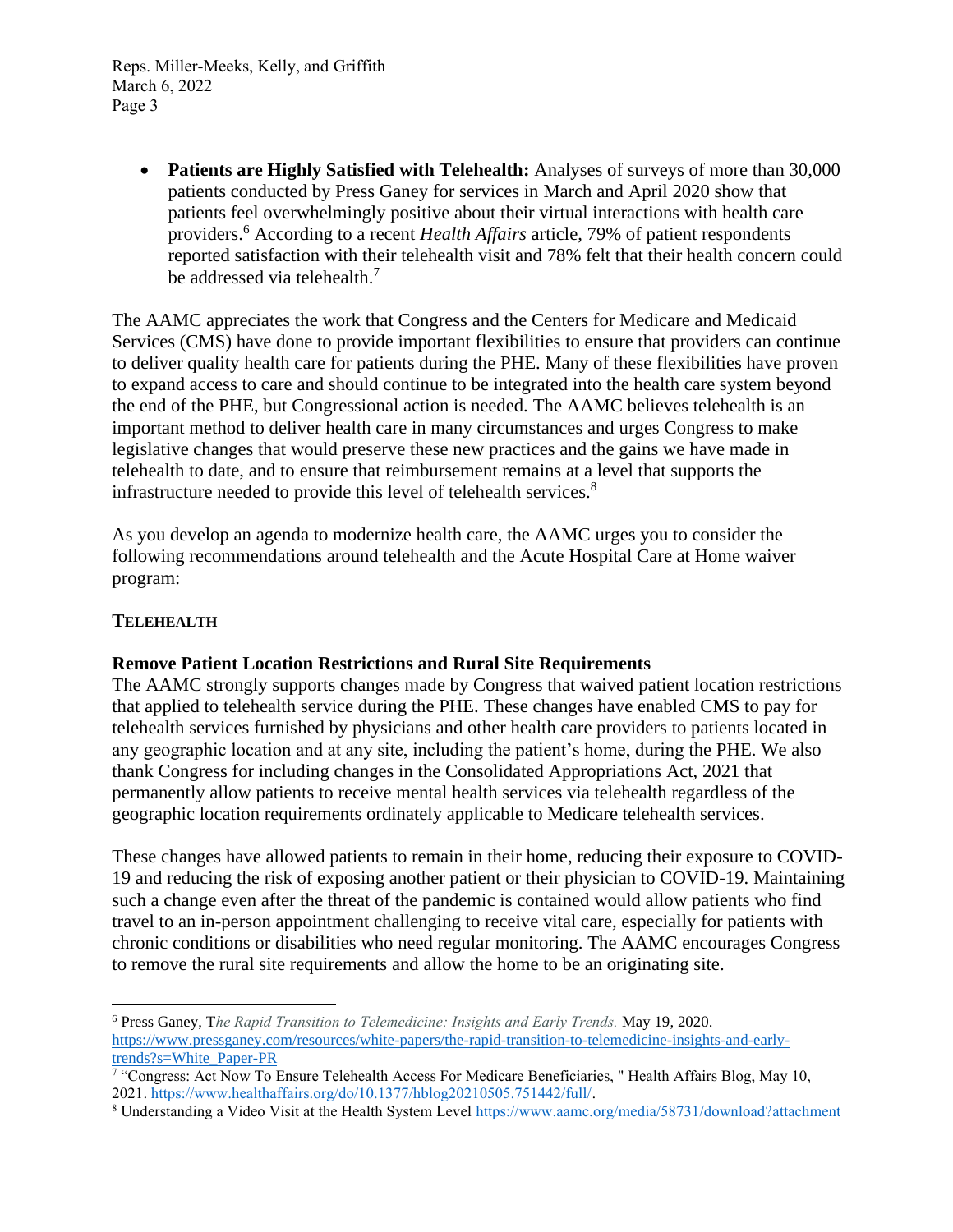> • **Patients are Highly Satisfied with Telehealth:** Analyses of surveys of more than 30,000 patients conducted by Press Ganey for services in March and April 2020 show that patients feel overwhelmingly positive about their virtual interactions with health care providers.<sup>6</sup> According to a recent *Health Affairs* article, 79% of patient respondents reported satisfaction with their telehealth visit and 78% felt that their health concern could be addressed via telehealth.<sup>7</sup>

The AAMC appreciates the work that Congress and the Centers for Medicare and Medicaid Services (CMS) have done to provide important flexibilities to ensure that providers can continue to deliver quality health care for patients during the PHE. Many of these flexibilities have proven to expand access to care and should continue to be integrated into the health care system beyond the end of the PHE, but Congressional action is needed. The AAMC believes telehealth is an important method to deliver health care in many circumstances and urges Congress to make legislative changes that would preserve these new practices and the gains we have made in telehealth to date, and to ensure that reimbursement remains at a level that supports the infrastructure needed to provide this level of telehealth services.<sup>8</sup>

As you develop an agenda to modernize health care, the AAMC urges you to consider the following recommendations around telehealth and the Acute Hospital Care at Home waiver program:

### **TELEHEALTH**

#### **Remove Patient Location Restrictions and Rural Site Requirements**

The AAMC strongly supports changes made by Congress that waived patient location restrictions that applied to telehealth service during the PHE. These changes have enabled CMS to pay for telehealth services furnished by physicians and other health care providers to patients located in any geographic location and at any site, including the patient's home, during the PHE. We also thank Congress for including changes in the Consolidated Appropriations Act, 2021 that permanently allow patients to receive mental health services via telehealth regardless of the geographic location requirements ordinately applicable to Medicare telehealth services.

These changes have allowed patients to remain in their home, reducing their exposure to COVID-19 and reducing the risk of exposing another patient or their physician to COVID-19. Maintaining such a change even after the threat of the pandemic is contained would allow patients who find travel to an in-person appointment challenging to receive vital care, especially for patients with chronic conditions or disabilities who need regular monitoring. The AAMC encourages Congress to remove the rural site requirements and allow the home to be an originating site.

<sup>6</sup> Press Ganey, T*he Rapid Transition to Telemedicine: Insights and Early Trends.* May 19, 2020. [https://www.pressganey.com/resources/white-papers/the-rapid-transition-to-telemedicine-insights-and-early](https://www.pressganey.com/resources/white-papers/the-rapid-transition-to-telemedicine-insights-and-early-trends?s=White_Paper-PR)[trends?s=White\\_Paper-PR](https://www.pressganey.com/resources/white-papers/the-rapid-transition-to-telemedicine-insights-and-early-trends?s=White_Paper-PR)

<sup>&</sup>lt;sup>7</sup> "Congress: Act Now To Ensure Telehealth Access For Medicare Beneficiaries, "Health Affairs Blog, May 10, 2021. [https://www.healthaffairs.org/do/10.1377/hblog20210505.751442/full/.](https://www.healthaffairs.org/do/10.1377/hblog20210505.751442/full/) 

<sup>8</sup> Understanding a Video Visit at the Health System Level <https://www.aamc.org/media/58731/download?attachment>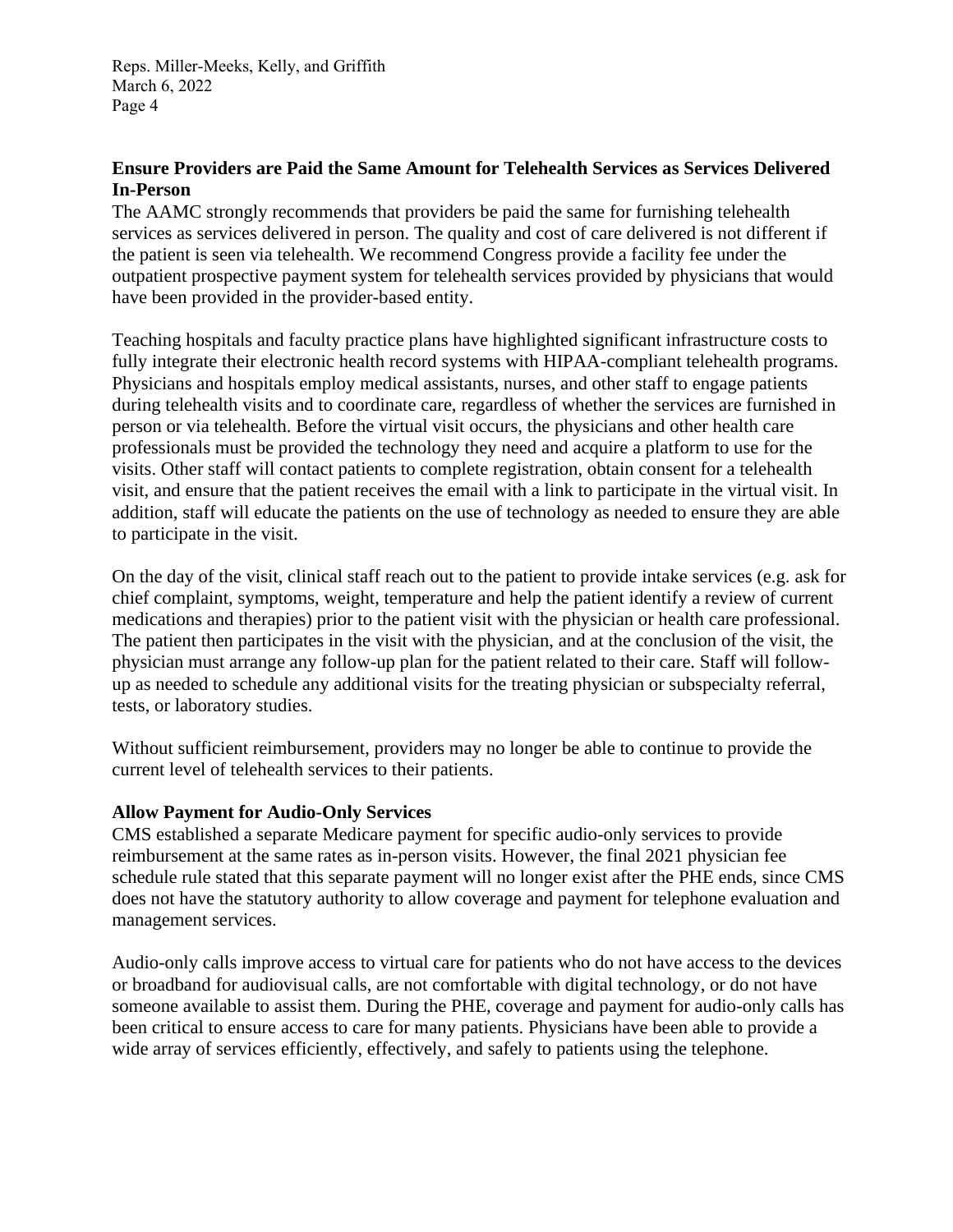# **Ensure Providers are Paid the Same Amount for Telehealth Services as Services Delivered In-Person**

The AAMC strongly recommends that providers be paid the same for furnishing telehealth services as services delivered in person. The quality and cost of care delivered is not different if the patient is seen via telehealth. We recommend Congress provide a facility fee under the outpatient prospective payment system for telehealth services provided by physicians that would have been provided in the provider-based entity.

Teaching hospitals and faculty practice plans have highlighted significant infrastructure costs to fully integrate their electronic health record systems with HIPAA-compliant telehealth programs. Physicians and hospitals employ medical assistants, nurses, and other staff to engage patients during telehealth visits and to coordinate care, regardless of whether the services are furnished in person or via telehealth. Before the virtual visit occurs, the physicians and other health care professionals must be provided the technology they need and acquire a platform to use for the visits. Other staff will contact patients to complete registration, obtain consent for a telehealth visit, and ensure that the patient receives the email with a link to participate in the virtual visit. In addition, staff will educate the patients on the use of technology as needed to ensure they are able to participate in the visit.

On the day of the visit, clinical staff reach out to the patient to provide intake services (e.g. ask for chief complaint, symptoms, weight, temperature and help the patient identify a review of current medications and therapies) prior to the patient visit with the physician or health care professional. The patient then participates in the visit with the physician, and at the conclusion of the visit, the physician must arrange any follow-up plan for the patient related to their care. Staff will followup as needed to schedule any additional visits for the treating physician or subspecialty referral, tests, or laboratory studies.

Without sufficient reimbursement, providers may no longer be able to continue to provide the current level of telehealth services to their patients.

#### **Allow Payment for Audio-Only Services**

CMS established a separate Medicare payment for specific audio-only services to provide reimbursement at the same rates as in-person visits. However, the final 2021 physician fee schedule rule stated that this separate payment will no longer exist after the PHE ends, since CMS does not have the statutory authority to allow coverage and payment for telephone evaluation and management services.

Audio-only calls improve access to virtual care for patients who do not have access to the devices or broadband for audiovisual calls, are not comfortable with digital technology, or do not have someone available to assist them. During the PHE, coverage and payment for audio-only calls has been critical to ensure access to care for many patients. Physicians have been able to provide a wide array of services efficiently, effectively, and safely to patients using the telephone.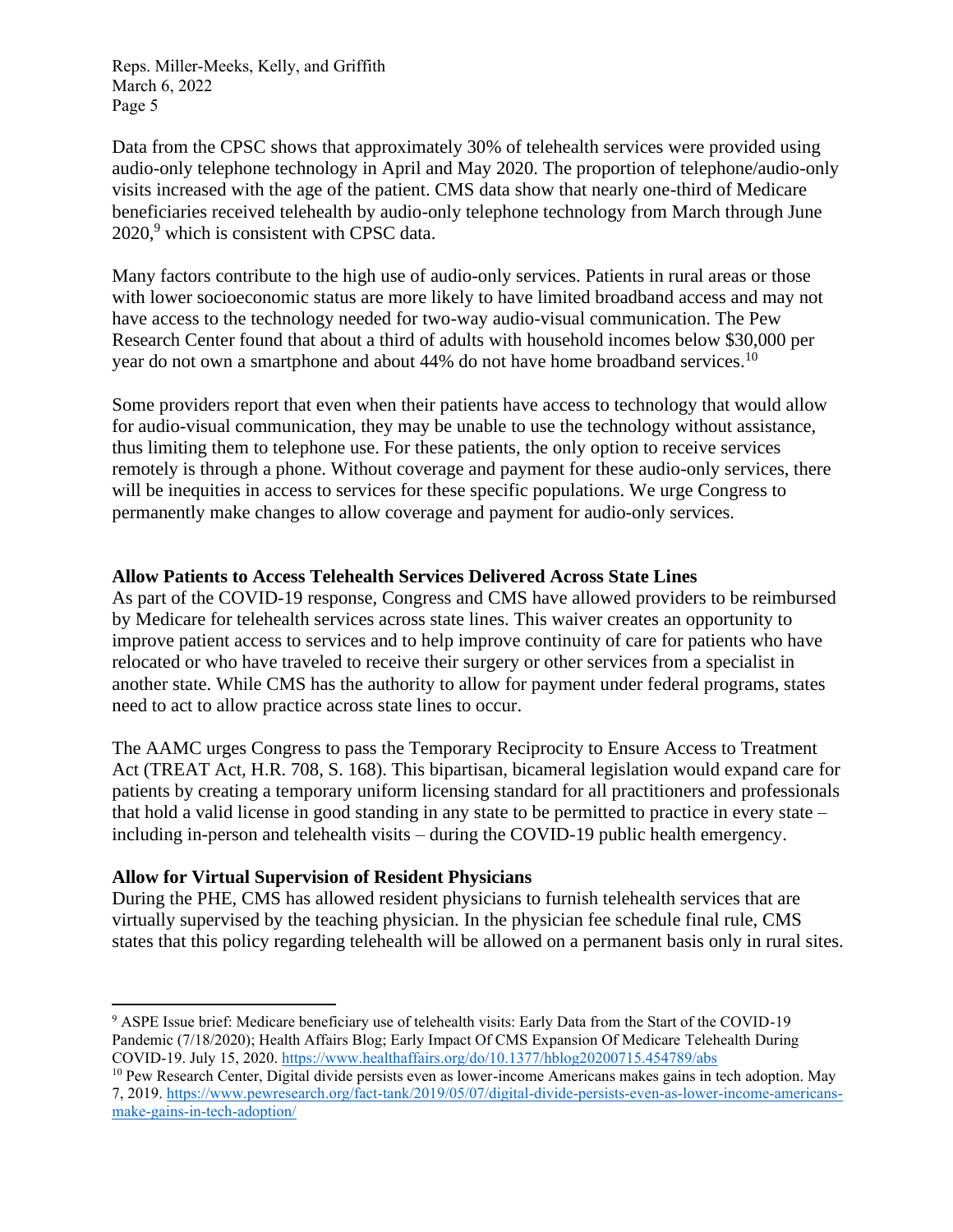Data from the CPSC shows that approximately 30% of telehealth services were provided using audio-only telephone technology in April and May 2020. The proportion of telephone/audio-only visits increased with the age of the patient. CMS data show that nearly one-third of Medicare beneficiaries received telehealth by audio-only telephone technology from March through June  $2020$ , which is consistent with CPSC data.

Many factors contribute to the high use of audio-only services. Patients in rural areas or those with lower socioeconomic status are more likely to have limited broadband access and may not have access to the technology needed for two-way audio-visual communication. The Pew Research Center found that about a third of adults with household incomes below \$30,000 per year do not own a smartphone and about 44% do not have home broadband services.<sup>10</sup>

Some providers report that even when their patients have access to technology that would allow for audio-visual communication, they may be unable to use the technology without assistance, thus limiting them to telephone use. For these patients, the only option to receive services remotely is through a phone. Without coverage and payment for these audio-only services, there will be inequities in access to services for these specific populations. We urge Congress to permanently make changes to allow coverage and payment for audio-only services.

#### **Allow Patients to Access Telehealth Services Delivered Across State Lines**

As part of the COVID-19 response, Congress and CMS have allowed providers to be reimbursed by Medicare for telehealth services across state lines. This waiver creates an opportunity to improve patient access to services and to help improve continuity of care for patients who have relocated or who have traveled to receive their surgery or other services from a specialist in another state. While CMS has the authority to allow for payment under federal programs, states need to act to allow practice across state lines to occur.

The AAMC urges Congress to pass the Temporary Reciprocity to Ensure Access to Treatment Act (TREAT Act, H.R. 708, S. 168). This bipartisan, bicameral legislation would expand care for patients by creating a temporary uniform licensing standard for all practitioners and professionals that hold a valid license in good standing in any state to be permitted to practice in every state – including in-person and telehealth visits – during the COVID-19 public health emergency.

#### **Allow for Virtual Supervision of Resident Physicians**

During the PHE, CMS has allowed resident physicians to furnish telehealth services that are virtually supervised by the teaching physician. In the physician fee schedule final rule, CMS states that this policy regarding telehealth will be allowed on a permanent basis only in rural sites.

<sup>&</sup>lt;sup>9</sup> ASPE Issue brief: Medicare beneficiary use of telehealth visits: Early Data from the Start of the COVID-19 Pandemic (7/18/2020); Health Affairs Blog; Early Impact Of CMS Expansion Of Medicare Telehealth During COVID-19. July 15, 2020.<https://www.healthaffairs.org/do/10.1377/hblog20200715.454789/abs>

<sup>&</sup>lt;sup>10</sup> Pew Research Center, Digital divide persists even as lower-income Americans makes gains in tech adoption. May 7, 2019. [https://www.pewresearch.org/fact-tank/2019/05/07/digital-divide-persists-even-as-lower-income-americans](https://www.pewresearch.org/fact-tank/2019/05/07/digital-divide-persists-even-as-lower-income-americans-make-gains-in-tech-adoption/)[make-gains-in-tech-adoption/](https://www.pewresearch.org/fact-tank/2019/05/07/digital-divide-persists-even-as-lower-income-americans-make-gains-in-tech-adoption/)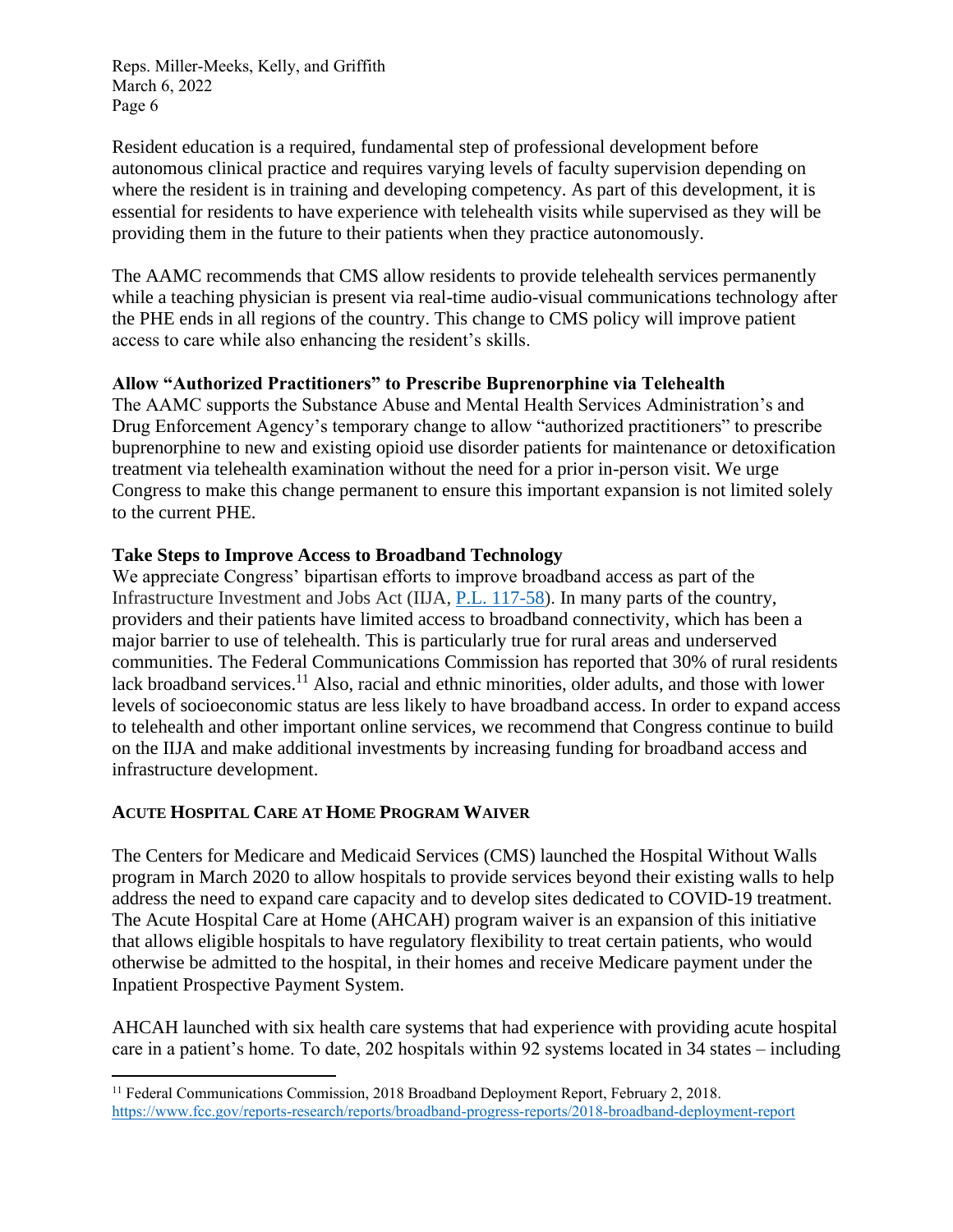Resident education is a required, fundamental step of professional development before autonomous clinical practice and requires varying levels of faculty supervision depending on where the resident is in training and developing competency. As part of this development, it is essential for residents to have experience with telehealth visits while supervised as they will be providing them in the future to their patients when they practice autonomously.

The AAMC recommends that CMS allow residents to provide telehealth services permanently while a teaching physician is present via real-time audio-visual communications technology after the PHE ends in all regions of the country. This change to CMS policy will improve patient access to care while also enhancing the resident's skills.

## **Allow "Authorized Practitioners" to Prescribe Buprenorphine via Telehealth**

The AAMC supports the Substance Abuse and Mental Health Services Administration's and Drug Enforcement Agency's temporary change to allow "authorized practitioners" to prescribe buprenorphine to new and existing opioid use disorder patients for maintenance or detoxification treatment via telehealth examination without the need for a prior in-person visit. We urge Congress to make this change permanent to ensure this important expansion is not limited solely to the current PHE.

## **Take Steps to Improve Access to Broadband Technology**

We appreciate Congress' bipartisan efforts to improve broadband access as part of the Infrastructure Investment and Jobs Act (IIJA, [P.L. 117-58\)](https://www.congress.gov/bill/117th-congress/house-bill/3684/text). In many parts of the country, providers and their patients have limited access to broadband connectivity, which has been a major barrier to use of telehealth. This is particularly true for rural areas and underserved communities. The Federal Communications Commission has reported that 30% of rural residents lack broadband services.<sup>11</sup> Also, racial and ethnic minorities, older adults, and those with lower levels of socioeconomic status are less likely to have broadband access. In order to expand access to telehealth and other important online services, we recommend that Congress continue to build on the IIJA and make additional investments by increasing funding for broadband access and infrastructure development.

# **ACUTE HOSPITAL CARE AT HOME PROGRAM WAIVER**

The Centers for Medicare and Medicaid Services (CMS) launched the Hospital Without Walls program in March 2020 to allow hospitals to provide services beyond their existing walls to help address the need to expand care capacity and to develop sites dedicated to COVID-19 treatment. The Acute Hospital Care at Home (AHCAH) program waiver is an expansion of this initiative that allows eligible hospitals to have regulatory flexibility to treat certain patients, who would otherwise be admitted to the hospital, in their homes and receive Medicare payment under the Inpatient Prospective Payment System.

AHCAH launched with six health care systems that had experience with providing acute hospital care in a patient's home. To date, 202 hospitals within 92 systems located in 34 states – including

<sup>&</sup>lt;sup>11</sup> Federal Communications Commission, 2018 Broadband Deployment Report, February 2, 2018. <https://www.fcc.gov/reports-research/reports/broadband-progress-reports/2018-broadband-deployment-report>